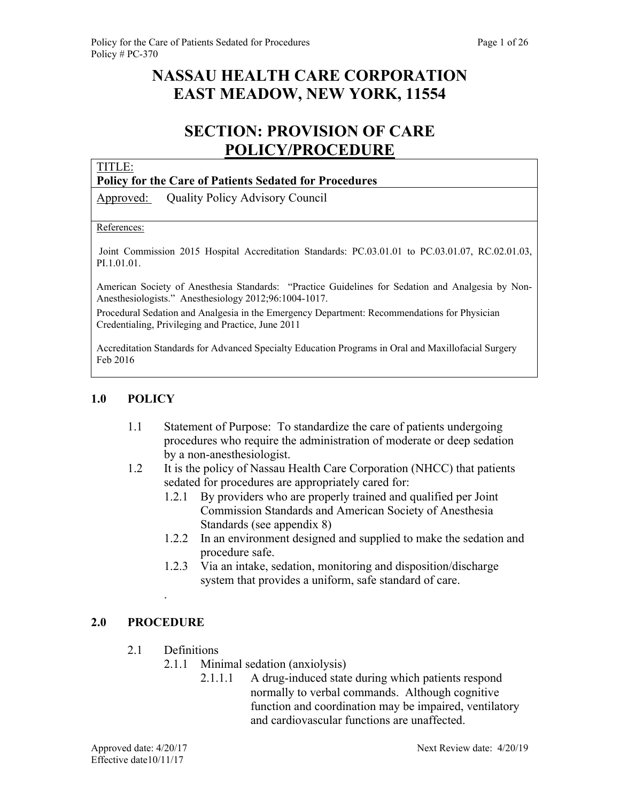# **NASSAU HEALTH CARE CORPORATION EAST MEADOW, NEW YORK, 11554**

# **SECTION: PROVISION OF CARE POLICY/PROCEDURE**

## TITLE:

#### **Policy for the Care of Patients Sedated for Procedures**

Approved: Quality Policy Advisory Council

#### References:

 Joint Commission 2015 Hospital Accreditation Standards: PC.03.01.01 to PC.03.01.07, RC.02.01.03, PI.1.01.01.

American Society of Anesthesia Standards: "Practice Guidelines for Sedation and Analgesia by Non-Anesthesiologists." Anesthesiology 2012;96:1004-1017.

Procedural Sedation and Analgesia in the Emergency Department: Recommendations for Physician Credentialing, Privileging and Practice, June 2011

Accreditation Standards for Advanced Specialty Education Programs in Oral and Maxillofacial Surgery Feb 2016

#### **1.0 POLICY**

- 1.1 Statement of Purpose: To standardize the care of patients undergoing procedures who require the administration of moderate or deep sedation by a non-anesthesiologist.
- 1.2 It is the policy of Nassau Health Care Corporation (NHCC) that patients sedated for procedures are appropriately cared for:
	- 1.2.1 By providers who are properly trained and qualified per Joint Commission Standards and American Society of Anesthesia Standards (see appendix 8)
	- 1.2.2 In an environment designed and supplied to make the sedation and procedure safe.
	- 1.2.3 Via an intake, sedation, monitoring and disposition/discharge system that provides a uniform, safe standard of care.

#### **2.0 PROCEDURE**

2.1 Definitions

.

- 2.1.1 Minimal sedation (anxiolysis)
	- 2.1.1.1 A drug-induced state during which patients respond normally to verbal commands. Although cognitive function and coordination may be impaired, ventilatory and cardiovascular functions are unaffected.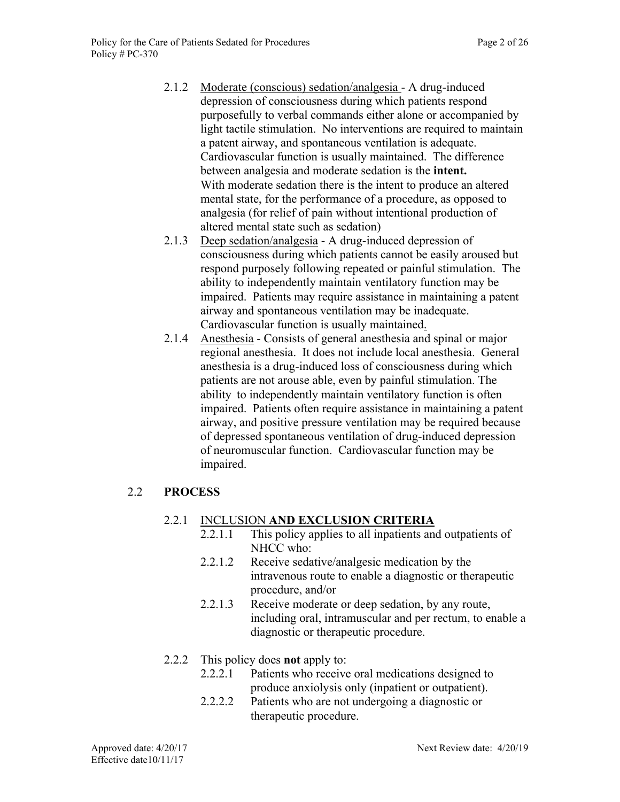- 2.1.2 Moderate (conscious) sedation/analgesia A drug-induced depression of consciousness during which patients respond purposefully to verbal commands either alone or accompanied by light tactile stimulation. No interventions are required to maintain a patent airway, and spontaneous ventilation is adequate. Cardiovascular function is usually maintained. The difference between analgesia and moderate sedation is the **intent.** With moderate sedation there is the intent to produce an altered mental state, for the performance of a procedure, as opposed to analgesia (for relief of pain without intentional production of altered mental state such as sedation)
- 2.1.3 Deep sedation/analgesia A drug-induced depression of consciousness during which patients cannot be easily aroused but respond purposely following repeated or painful stimulation. The ability to independently maintain ventilatory function may be impaired. Patients may require assistance in maintaining a patent airway and spontaneous ventilation may be inadequate. Cardiovascular function is usually maintained.
- 2.1.4 Anesthesia Consists of general anesthesia and spinal or major regional anesthesia. It does not include local anesthesia. General anesthesia is a drug-induced loss of consciousness during which patients are not arouse able, even by painful stimulation. The ability to independently maintain ventilatory function is often impaired. Patients often require assistance in maintaining a patent airway, and positive pressure ventilation may be required because of depressed spontaneous ventilation of drug-induced depression of neuromuscular function. Cardiovascular function may be impaired.

## 2.2 **PROCESS**

#### 2.2.1 INCLUSION **AND EXCLUSION CRITERIA**

- 2.2.1.1 This policy applies to all inpatients and outpatients of NHCC who:
- 2.2.1.2 Receive sedative/analgesic medication by the intravenous route to enable a diagnostic or therapeutic procedure, and/or
- 2.2.1.3 Receive moderate or deep sedation, by any route, including oral, intramuscular and per rectum, to enable a diagnostic or therapeutic procedure.

## 2.2.2 This policy does **not** apply to:

- 2.2.2.1 Patients who receive oral medications designed to produce anxiolysis only (inpatient or outpatient).
- 2.2.2.2 Patients who are not undergoing a diagnostic or therapeutic procedure.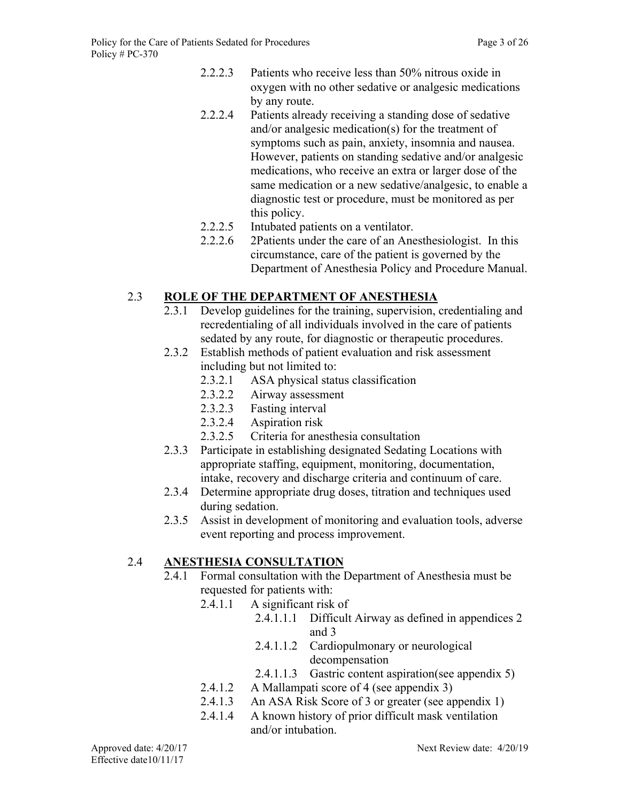- 2.2.2.3 Patients who receive less than 50% nitrous oxide in oxygen with no other sedative or analgesic medications by any route.
- 2.2.2.4 Patients already receiving a standing dose of sedative and/or analgesic medication(s) for the treatment of symptoms such as pain, anxiety, insomnia and nausea. However, patients on standing sedative and/or analgesic medications, who receive an extra or larger dose of the same medication or a new sedative/analgesic, to enable a diagnostic test or procedure, must be monitored as per this policy.
- 2.2.2.5 Intubated patients on a ventilator.
- 2.2.2.6 2Patients under the care of an Anesthesiologist. In this circumstance, care of the patient is governed by the Department of Anesthesia Policy and Procedure Manual.

## 2.3 **ROLE OF THE DEPARTMENT OF ANESTHESIA**

- 2.3.1 Develop guidelines for the training, supervision, credentialing and recredentialing of all individuals involved in the care of patients sedated by any route, for diagnostic or therapeutic procedures.
- 2.3.2 Establish methods of patient evaluation and risk assessment including but not limited to:
	- 2.3.2.1 ASA physical status classification
	- 2.3.2.2 Airway assessment
	- 2.3.2.3 Fasting interval
	- 2.3.2.4 Aspiration risk
	- 2.3.2.5 Criteria for anesthesia consultation
- 2.3.3 Participate in establishing designated Sedating Locations with appropriate staffing, equipment, monitoring, documentation, intake, recovery and discharge criteria and continuum of care.
- 2.3.4 Determine appropriate drug doses, titration and techniques used during sedation.
- 2.3.5 Assist in development of monitoring and evaluation tools, adverse event reporting and process improvement.

## 2.4 **ANESTHESIA CONSULTATION**

- 2.4.1 Formal consultation with the Department of Anesthesia must be requested for patients with:
	- 2.4.1.1 A significant risk of
		- 2.4.1.1.1 Difficult Airway as defined in appendices 2 and 3
		- 2.4.1.1.2 Cardiopulmonary or neurological decompensation
		- 2.4.1.1.3 Gastric content aspiration(see appendix 5)
	- 2.4.1.2 A Mallampati score of 4 (see appendix 3)
	- 2.4.1.3 An ASA Risk Score of 3 or greater (see appendix 1)
	- 2.4.1.4 A known history of prior difficult mask ventilation and/or intubation.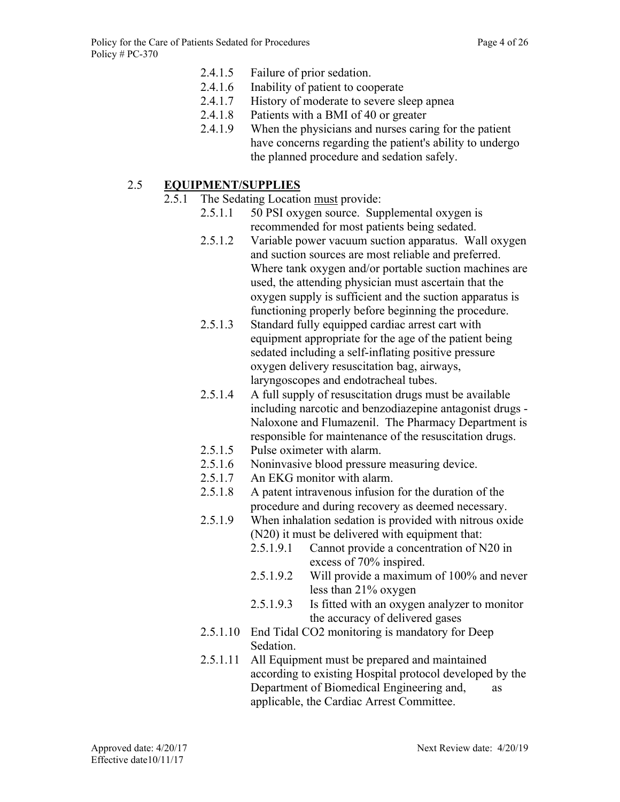- 2.4.1.5 Failure of prior sedation.
- 2.4.1.6 Inability of patient to cooperate
- 2.4.1.7 History of moderate to severe sleep apnea
- 2.4.1.8 Patients with a BMI of 40 or greater
- 2.4.1.9 When the physicians and nurses caring for the patient have concerns regarding the patient's ability to undergo the planned procedure and sedation safely.

## 2.5 **EQUIPMENT/SUPPLIES**

- 2.5.1 The Sedating Location must provide:
	- 2.5.1.1 50 PSI oxygen source. Supplemental oxygen is recommended for most patients being sedated.
		- 2.5.1.2 Variable power vacuum suction apparatus. Wall oxygen and suction sources are most reliable and preferred. Where tank oxygen and/or portable suction machines are used, the attending physician must ascertain that the oxygen supply is sufficient and the suction apparatus is functioning properly before beginning the procedure.
		- 2.5.1.3 Standard fully equipped cardiac arrest cart with equipment appropriate for the age of the patient being sedated including a self-inflating positive pressure oxygen delivery resuscitation bag, airways, laryngoscopes and endotracheal tubes.
		- 2.5.1.4 A full supply of resuscitation drugs must be available including narcotic and benzodiazepine antagonist drugs - Naloxone and Flumazenil. The Pharmacy Department is responsible for maintenance of the resuscitation drugs.
		- 2.5.1.5 Pulse oximeter with alarm.
		- 2.5.1.6 Noninvasive blood pressure measuring device.
		- 2.5.1.7 An EKG monitor with alarm.
		- 2.5.1.8 A patent intravenous infusion for the duration of the procedure and during recovery as deemed necessary.
		- 2.5.1.9 When inhalation sedation is provided with nitrous oxide (N20) it must be delivered with equipment that:
			- 2.5.1.9.1 Cannot provide a concentration of N20 in excess of 70% inspired.
			- 2.5.1.9.2 Will provide a maximum of 100% and never less than 21% oxygen
			- 2.5.1.9.3 Is fitted with an oxygen analyzer to monitor the accuracy of delivered gases
		- 2.5.1.10 End Tidal CO2 monitoring is mandatory for Deep Sedation.
		- 2.5.1.11 All Equipment must be prepared and maintained according to existing Hospital protocol developed by the Department of Biomedical Engineering and, as applicable, the Cardiac Arrest Committee.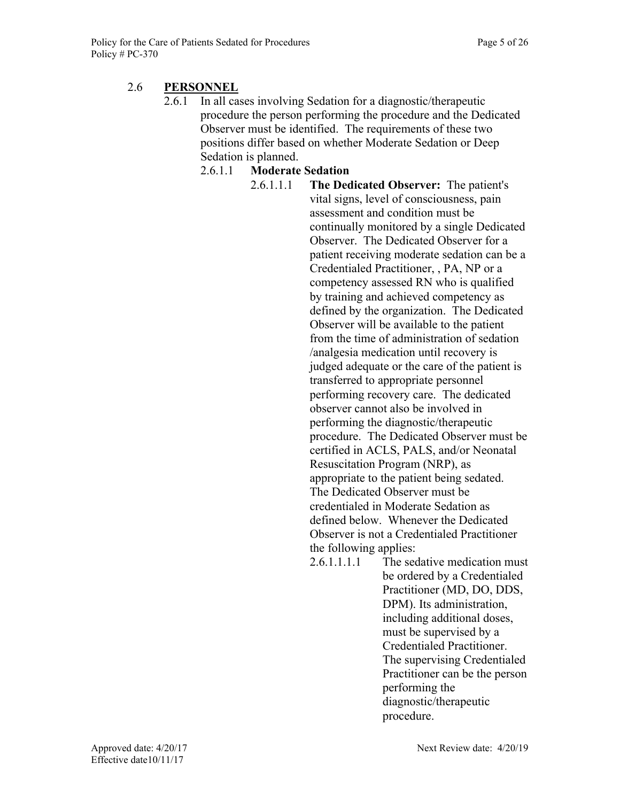## 2.6 **PERSONNEL**

2.6.1 In all cases involving Sedation for a diagnostic/therapeutic procedure the person performing the procedure and the Dedicated Observer must be identified. The requirements of these two positions differ based on whether Moderate Sedation or Deep Sedation is planned.

## 2.6.1.1 **Moderate Sedation**

2.6.1.1.1 **The Dedicated Observer:** The patient's vital signs, level of consciousness, pain assessment and condition must be continually monitored by a single Dedicated Observer. The Dedicated Observer for a patient receiving moderate sedation can be a Credentialed Practitioner, , PA, NP or a competency assessed RN who is qualified by training and achieved competency as defined by the organization. The Dedicated Observer will be available to the patient from the time of administration of sedation /analgesia medication until recovery is judged adequate or the care of the patient is transferred to appropriate personnel performing recovery care. The dedicated observer cannot also be involved in performing the diagnostic/therapeutic procedure. The Dedicated Observer must be certified in ACLS, PALS, and/or Neonatal Resuscitation Program (NRP), as appropriate to the patient being sedated. The Dedicated Observer must be credentialed in Moderate Sedation as defined below. Whenever the Dedicated Observer is not a Credentialed Practitioner the following applies:

> 2.6.1.1.1.1 The sedative medication must be ordered by a Credentialed Practitioner (MD, DO, DDS, DPM). Its administration, including additional doses, must be supervised by a Credentialed Practitioner. The supervising Credentialed Practitioner can be the person performing the diagnostic/therapeutic procedure.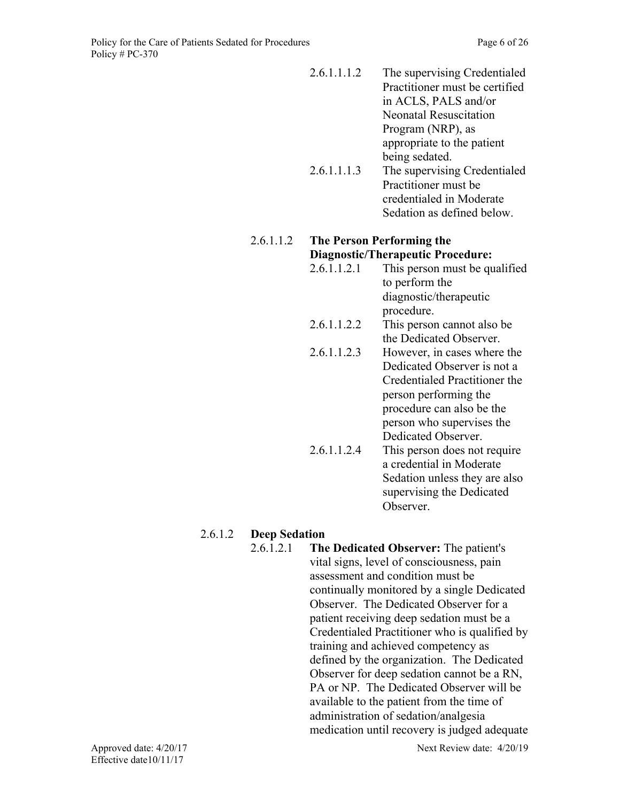| 2.6.1.1.1.2 | The supervising Credentialed   |
|-------------|--------------------------------|
|             | Practitioner must be certified |
|             | in ACLS, PALS and/or           |
|             | <b>Neonatal Resuscitation</b>  |
|             | Program (NRP), as              |
|             | appropriate to the patient     |
|             | being sedated.                 |
| 2.6.1.1.1.3 | The supervising Credentialed   |
|             | Dractitionar must be           |

Practitioner must be credentialed in Moderate Sedation as defined below.

## 2.6.1.1.2 **The Person Performing the Diagnostic/Therapeutic Procedure:**

- 2.6.1.1.2.1 This person must be qualified to perform the diagnostic/therapeutic procedure.
- 2.6.1.1.2.2 This person cannot also be the Dedicated Observer.
- 2.6.1.1.2.3 However, in cases where the Dedicated Observer is not a Credentialed Practitioner the person performing the procedure can also be the person who supervises the Dedicated Observer. 2.6.1.1.2.4 This person does not require a credential in Moderate Sedation unless they are also

Observer.

supervising the Dedicated

## 2.6.1.2 **Deep Sedation**

2.6.1.2.1 **The Dedicated Observer:** The patient's vital signs, level of consciousness, pain assessment and condition must be continually monitored by a single Dedicated Observer. The Dedicated Observer for a patient receiving deep sedation must be a Credentialed Practitioner who is qualified by training and achieved competency as defined by the organization. The Dedicated Observer for deep sedation cannot be a RN, PA or NP. The Dedicated Observer will be available to the patient from the time of administration of sedation/analgesia medication until recovery is judged adequate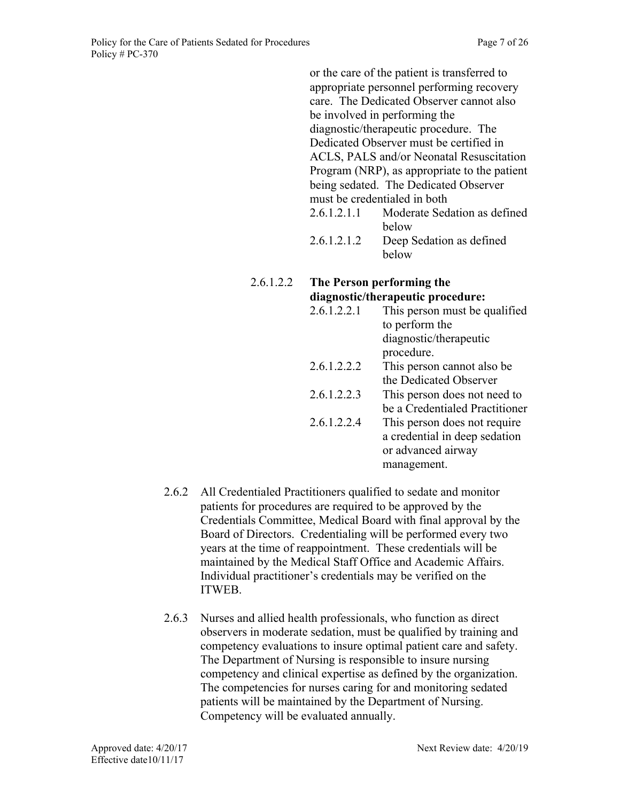or the care of the patient is transferred to appropriate personnel performing recovery care. The Dedicated Observer cannot also be involved in performing the diagnostic/therapeutic procedure. The Dedicated Observer must be certified in ACLS, PALS and/or Neonatal Resuscitation Program (NRP), as appropriate to the patient being sedated. The Dedicated Observer must be credentialed in both 2.6.1.2.1.1 Moderate Sedation as defined below 2.6.1.2.1.2 Deep Sedation as defined below

#### 2.6.1.2.2 **The Person performing the diagnostic/therapeutic procedure:**

|             | ulaguostic/therapeutic procedure. |
|-------------|-----------------------------------|
| 2.6.1.2.2.1 | This person must be qualified     |
|             | to perform the                    |
|             | diagnostic/therapeutic            |
|             | procedure.                        |
| 2.6.1.2.2.2 | This person cannot also be        |
|             | the Dedicated Observer            |
| 2.6.1.2.2.3 | This person does not need to      |
|             | be a Credentialed Practitioner    |
| 2.6.1.2.2.4 | This person does not require      |
|             | a credential in deep sedation     |
|             | or advanced airway                |
|             | management.                       |
|             |                                   |

- 2.6.2 All Credentialed Practitioners qualified to sedate and monitor patients for procedures are required to be approved by the Credentials Committee, Medical Board with final approval by the Board of Directors. Credentialing will be performed every two years at the time of reappointment. These credentials will be maintained by the Medical Staff Office and Academic Affairs. Individual practitioner's credentials may be verified on the ITWEB.
- 2.6.3 Nurses and allied health professionals, who function as direct observers in moderate sedation, must be qualified by training and competency evaluations to insure optimal patient care and safety. The Department of Nursing is responsible to insure nursing competency and clinical expertise as defined by the organization. The competencies for nurses caring for and monitoring sedated patients will be maintained by the Department of Nursing. Competency will be evaluated annually.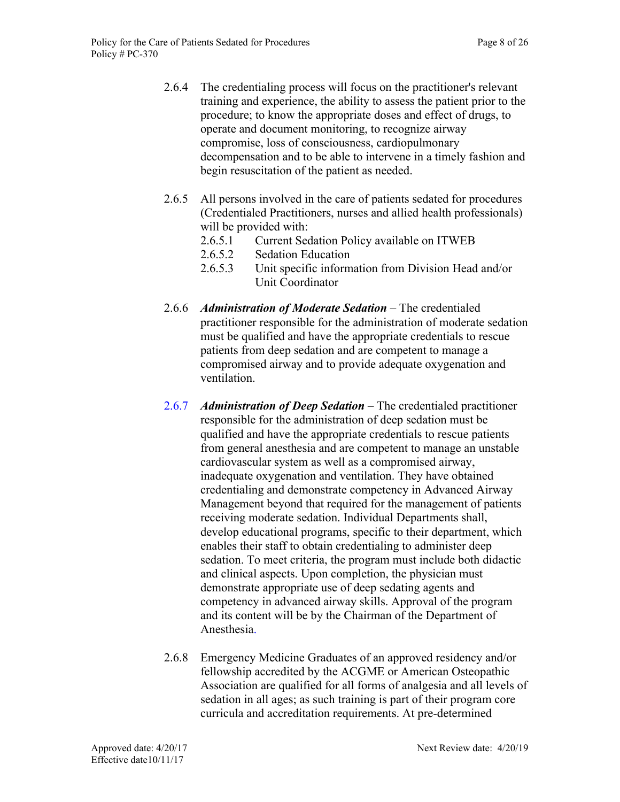- 2.6.4 The credentialing process will focus on the practitioner's relevant training and experience, the ability to assess the patient prior to the procedure; to know the appropriate doses and effect of drugs, to operate and document monitoring, to recognize airway compromise, loss of consciousness, cardiopulmonary decompensation and to be able to intervene in a timely fashion and begin resuscitation of the patient as needed.
- 2.6.5 All persons involved in the care of patients sedated for procedures (Credentialed Practitioners, nurses and allied health professionals) will be provided with:
	- 2.6.5.1 Current Sedation Policy available on ITWEB
	- 2.6.5.2 Sedation Education
	- 2.6.5.3 Unit specific information from Division Head and/or Unit Coordinator
- 2.6.6 *Administration of Moderate Sedation* The credentialed practitioner responsible for the administration of moderate sedation must be qualified and have the appropriate credentials to rescue patients from deep sedation and are competent to manage a compromised airway and to provide adequate oxygenation and ventilation.
- 2.6.7 *Administration of Deep Sedation* The credentialed practitioner responsible for the administration of deep sedation must be qualified and have the appropriate credentials to rescue patients from general anesthesia and are competent to manage an unstable cardiovascular system as well as a compromised airway, inadequate oxygenation and ventilation. They have obtained credentialing and demonstrate competency in Advanced Airway Management beyond that required for the management of patients receiving moderate sedation. Individual Departments shall, develop educational programs, specific to their department, which enables their staff to obtain credentialing to administer deep sedation. To meet criteria, the program must include both didactic and clinical aspects. Upon completion, the physician must demonstrate appropriate use of deep sedating agents and competency in advanced airway skills. Approval of the program and its content will be by the Chairman of the Department of Anesthesia.
- 2.6.8 Emergency Medicine Graduates of an approved residency and/or fellowship accredited by the ACGME or American Osteopathic Association are qualified for all forms of analgesia and all levels of sedation in all ages; as such training is part of their program core curricula and accreditation requirements. At pre-determined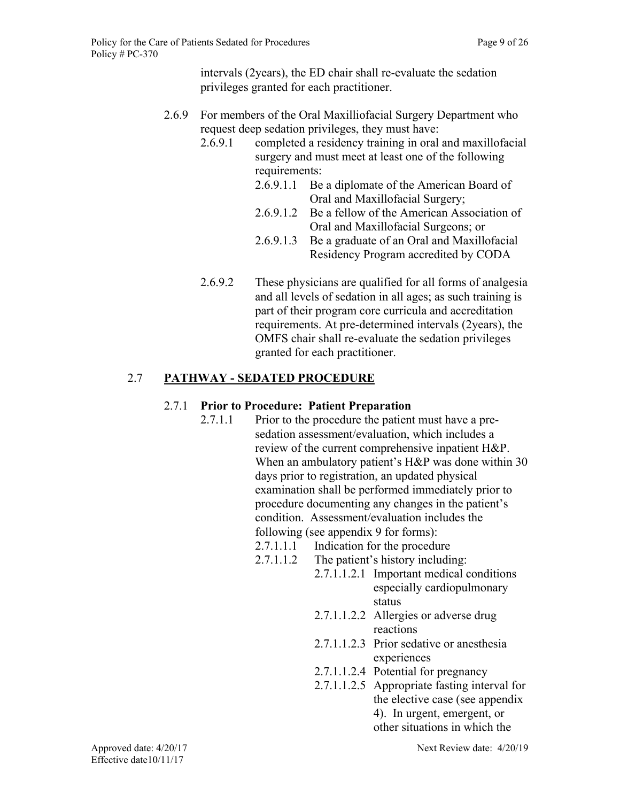intervals (2years), the ED chair shall re-evaluate the sedation privileges granted for each practitioner.

- 2.6.9 For members of the Oral Maxilliofacial Surgery Department who request deep sedation privileges, they must have:
	- 2.6.9.1 completed a residency training in oral and maxillofacial surgery and must meet at least one of the following requirements:
		- 2.6.9.1.1 Be a diplomate of the American Board of Oral and Maxillofacial Surgery;
		- 2.6.9.1.2 Be a fellow of the American Association of Oral and Maxillofacial Surgeons; or
		- 2.6.9.1.3 Be a graduate of an Oral and Maxillofacial Residency Program accredited by CODA
	- 2.6.9.2 These physicians are qualified for all forms of analgesia and all levels of sedation in all ages; as such training is part of their program core curricula and accreditation requirements. At pre-determined intervals (2years), the OMFS chair shall re-evaluate the sedation privileges granted for each practitioner.

## 2.7 **PATHWAY - SEDATED PROCEDURE**

## 2.7.1 **Prior to Procedure: Patient Preparation**

- 2.7.1.1 Prior to the procedure the patient must have a presedation assessment/evaluation, which includes a review of the current comprehensive inpatient H&P. When an ambulatory patient's H&P was done within 30 days prior to registration, an updated physical examination shall be performed immediately prior to procedure documenting any changes in the patient's condition. Assessment/evaluation includes the following (see appendix 9 for forms):
	- 2.7.1.1.1 Indication for the procedure
	- 2.7.1.1.2 The patient's history including:
		- 2.7.1.1.2.1 Important medical conditions especially cardiopulmonary status
		- 2.7.1.1.2.2 Allergies or adverse drug reactions
		- 2.7.1.1.2.3 Prior sedative or anesthesia experiences
		- 2.7.1.1.2.4 Potential for pregnancy
		- 2.7.1.1.2.5 Appropriate fasting interval for the elective case (see appendix 4). In urgent, emergent, or other situations in which the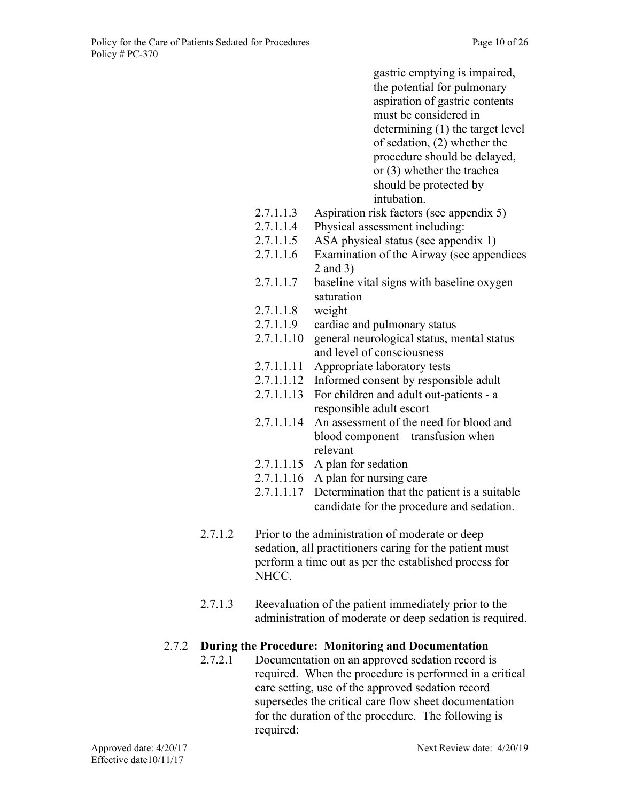gastric emptying is impaired, the potential for pulmonary aspiration of gastric contents must be considered in determining (1) the target level of sedation, (2) whether the procedure should be delayed, or (3) whether the trachea should be protected by intubation.

- 2.7.1.1.3 Aspiration risk factors (see appendix 5)
- 2.7.1.1.4 Physical assessment including:
- 2.7.1.1.5 ASA physical status (see appendix 1)
- 2.7.1.1.6 Examination of the Airway (see appendices 2 and 3)
- 2.7.1.1.7 baseline vital signs with baseline oxygen saturation
- 2.7.1.1.8 weight
- 2.7.1.1.9 cardiac and pulmonary status
- 2.7.1.1.10 general neurological status, mental status and level of consciousness
- 2.7.1.1.11 Appropriate laboratory tests
- 2.7.1.1.12 Informed consent by responsible adult
- 2.7.1.1.13 For children and adult out-patients a responsible adult escort
- 2.7.1.1.14 An assessment of the need for blood and blood component transfusion when relevant
- 2.7.1.1.15 A plan for sedation
- 2.7.1.1.16 A plan for nursing care
- 2.7.1.1.17 Determination that the patient is a suitable candidate for the procedure and sedation.
- 2.7.1.2 Prior to the administration of moderate or deep sedation, all practitioners caring for the patient must perform a time out as per the established process for NHCC.
- 2.7.1.3 Reevaluation of the patient immediately prior to the administration of moderate or deep sedation is required.

#### 2.7.2 **During the Procedure: Monitoring and Documentation**

2.7.2.1 Documentation on an approved sedation record is required. When the procedure is performed in a critical care setting, use of the approved sedation record supersedes the critical care flow sheet documentation for the duration of the procedure. The following is required: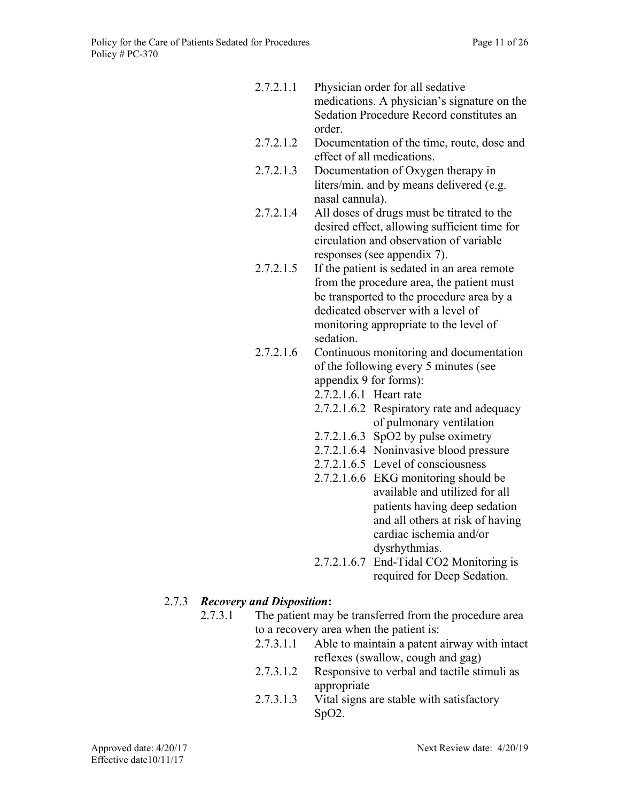| 2.7.2.1.1 | Physician order for all sedative             |
|-----------|----------------------------------------------|
|           | medications. A physician's signature on the  |
|           | Sedation Procedure Record constitutes an     |
|           | order.                                       |
| 2.7.2.1.2 | Documentation of the time, route, dose and   |
|           | effect of all medications.                   |
| 2.7.2.1.3 | Documentation of Oxygen therapy in           |
|           | liters/min. and by means delivered (e.g.     |
|           | nasal cannula).                              |
| 2.7.2.1.4 | All doses of drugs must be titrated to the   |
|           | desired effect, allowing sufficient time for |
|           | circulation and observation of variable      |
|           | responses (see appendix 7).                  |
| 2.7.2.1.5 | If the patient is sedated in an area remote  |
|           | from the procedure area, the patient must    |
|           | be transported to the procedure area by a    |
|           | dedicated observer with a level of           |
|           | monitoring appropriate to the level of       |
|           | sedation.                                    |
| 2.7.2.1.6 | Continuous monitoring and documentation      |
|           | of the following every 5 minutes (see        |
|           | appendix 9 for forms):                       |
|           | 2.7.2.1.6.1 Heart rate                       |
|           | 2.7.2.1.6.2 Respiratory rate and adequacy    |
|           | of pulmonary ventilation                     |
|           | 2.7.2.1.6.3 SpO2 by pulse oximetry           |
|           | $272164$ Meningwaigh klash massa             |

- 2.7.2.1.6.4 Noninvasive blood pressure
- 2.7.2.1.6.5 Level of consciousness
- 2.7.2.1.6.6 EKG monitoring should be available and utilized for all patients having deep sedation and all others at risk of having cardiac ischemia and/or dysrhythmias.
- 2.7.2.1.6.7 End-Tidal CO2 Monitoring is required for Deep Sedation.

## 2.7.3 *Recovery and Disposition***:**

- 2.7.3.1 The patient may be transferred from the procedure area to a recovery area when the patient is:
	- 2.7.3.1.1 Able to maintain a patent airway with intact reflexes (swallow, cough and gag)
	- 2.7.3.1.2 Responsive to verbal and tactile stimuli as appropriate
	- 2.7.3.1.3 Vital signs are stable with satisfactory SpO2.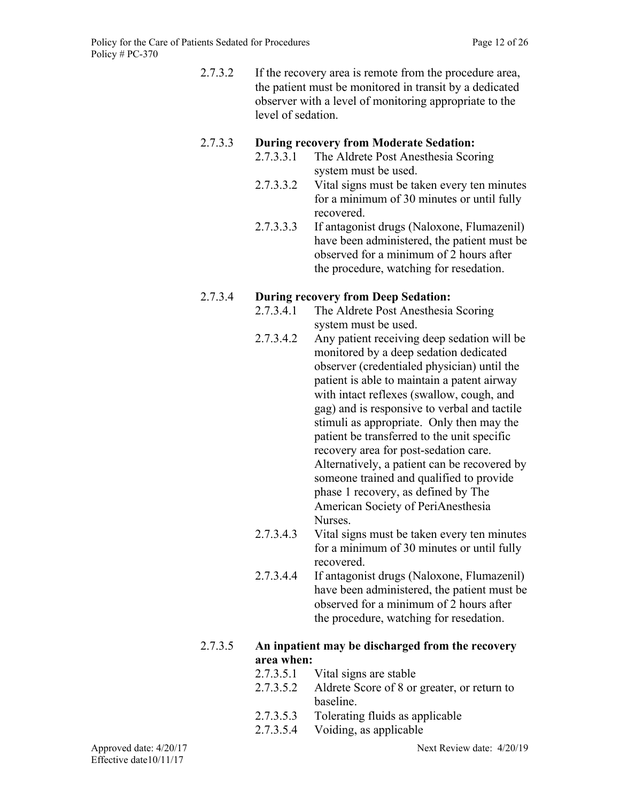2.7.3.2 If the recovery area is remote from the procedure area, the patient must be monitored in transit by a dedicated observer with a level of monitoring appropriate to the level of sedation.

#### 2.7.3.3 **During recovery from Moderate Sedation:**

- 2.7.3.3.1 The Aldrete Post Anesthesia Scoring system must be used.
- 2.7.3.3.2 Vital signs must be taken every ten minutes for a minimum of 30 minutes or until fully recovered.
- 2.7.3.3.3 If antagonist drugs (Naloxone, Flumazenil) have been administered, the patient must be observed for a minimum of 2 hours after the procedure, watching for resedation.

## 2.7.3.4 **During recovery from Deep Sedation:**

- 2.7.3.4.1 The Aldrete Post Anesthesia Scoring system must be used.
- 2.7.3.4.2 Any patient receiving deep sedation will be monitored by a deep sedation dedicated observer (credentialed physician) until the patient is able to maintain a patent airway with intact reflexes (swallow, cough, and gag) and is responsive to verbal and tactile stimuli as appropriate. Only then may the patient be transferred to the unit specific recovery area for post-sedation care. Alternatively, a patient can be recovered by someone trained and qualified to provide phase 1 recovery, as defined by The American Society of PeriAnesthesia **Nurses**
- 2.7.3.4.3 Vital signs must be taken every ten minutes for a minimum of 30 minutes or until fully recovered.
- 2.7.3.4.4 If antagonist drugs (Naloxone, Flumazenil) have been administered, the patient must be observed for a minimum of 2 hours after the procedure, watching for resedation.

#### 2.7.3.5 **An inpatient may be discharged from the recovery area when:**

- 2.7.3.5.1 Vital signs are stable
- 2.7.3.5.2 Aldrete Score of 8 or greater, or return to baseline.
- 2.7.3.5.3 Tolerating fluids as applicable
- 2.7.3.5.4 Voiding, as applicable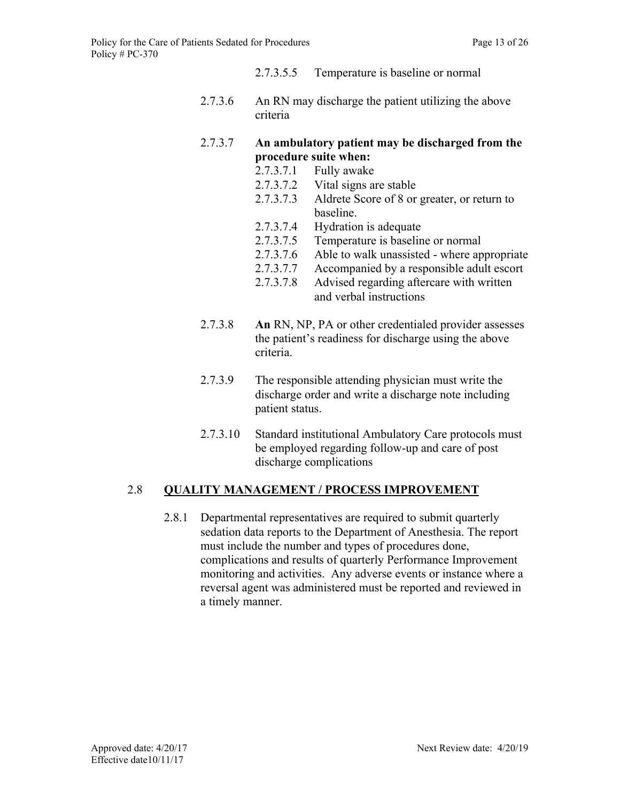- 2.7.3.5.5 Temperature is baseline or normal
- 2.7.3.6 An RN may discharge the patient utilizing the above criteria
- 2.7.3.7 **An ambulatory patient may be discharged from the procedure suite when:**
	- 2.7.3.7.1 Fully awake
	- 2.7.3.7.2 Vital signs are stable
	- 2.7.3.7.3 Aldrete Score of 8 or greater, or return to baseline.
	- 2.7.3.7.4 Hydration is adequate
	- 2.7.3.7.5 Temperature is baseline or normal
	- 2.7.3.7.6 Able to walk unassisted where appropriate
	- 2.7.3.7.7 Accompanied by a responsible adult escort
	- 2.7.3.7.8 Advised regarding aftercare with written and verbal instructions
- 2.7.3.8 **An** RN, NP, PA or other credentialed provider assesses the patient's readiness for discharge using the above criteria.
- 2.7.3.9 The responsible attending physician must write the discharge order and write a discharge note including patient status.
- 2.7.3.10 Standard institutional Ambulatory Care protocols must be employed regarding follow-up and care of post discharge complications

#### 2.8 **QUALITY MANAGEMENT / PROCESS IMPROVEMENT**

2.8.1 Departmental representatives are required to submit quarterly sedation data reports to the Department of Anesthesia. The report must include the number and types of procedures done, complications and results of quarterly Performance Improvement monitoring and activities. Any adverse events or instance where a reversal agent was administered must be reported and reviewed in a timely manner.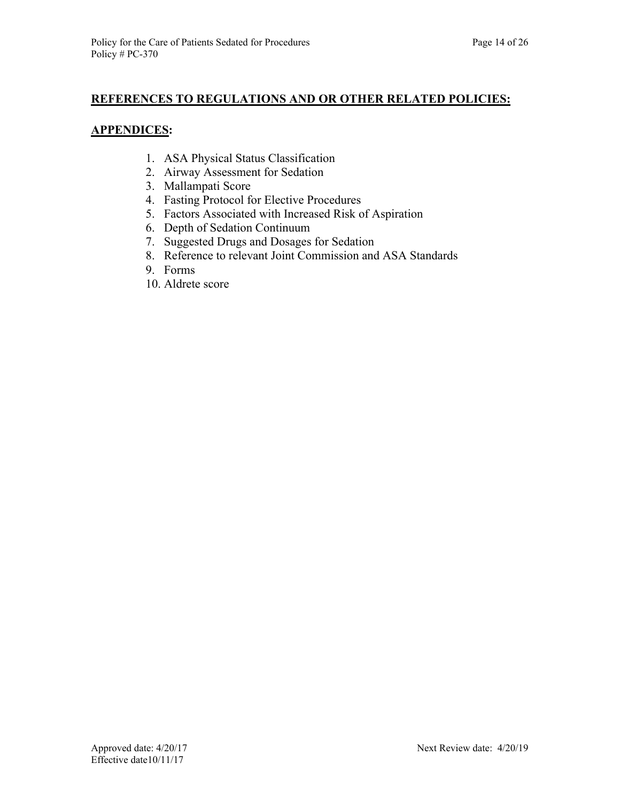#### **REFERENCES TO REGULATIONS AND OR OTHER RELATED POLICIES:**

## **APPENDICES:**

- 1. ASA Physical Status Classification
- 2. Airway Assessment for Sedation
- 3. Mallampati Score
- 4. Fasting Protocol for Elective Procedures
- 5. Factors Associated with Increased Risk of Aspiration
- 6. Depth of Sedation Continuum
- 7. Suggested Drugs and Dosages for Sedation
- 8. Reference to relevant Joint Commission and ASA Standards
- 9. Forms
- 10. Aldrete score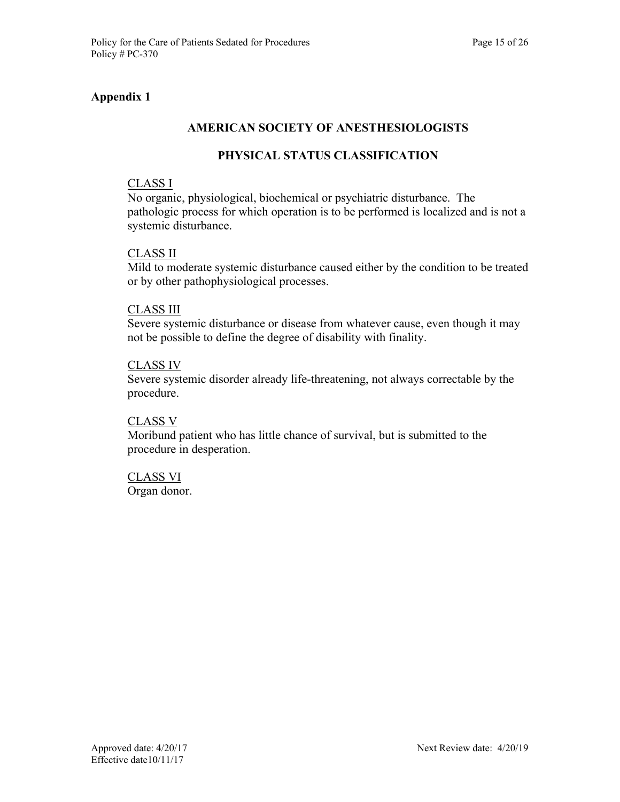#### **AMERICAN SOCIETY OF ANESTHESIOLOGISTS**

#### **PHYSICAL STATUS CLASSIFICATION**

#### CLASS I

No organic, physiological, biochemical or psychiatric disturbance. The pathologic process for which operation is to be performed is localized and is not a systemic disturbance.

#### CLASS II

Mild to moderate systemic disturbance caused either by the condition to be treated or by other pathophysiological processes.

#### CLASS III

Severe systemic disturbance or disease from whatever cause, even though it may not be possible to define the degree of disability with finality.

#### CLASS IV

Severe systemic disorder already life-threatening, not always correctable by the procedure.

#### CLASS V

Moribund patient who has little chance of survival, but is submitted to the procedure in desperation.

CLASS VI Organ donor.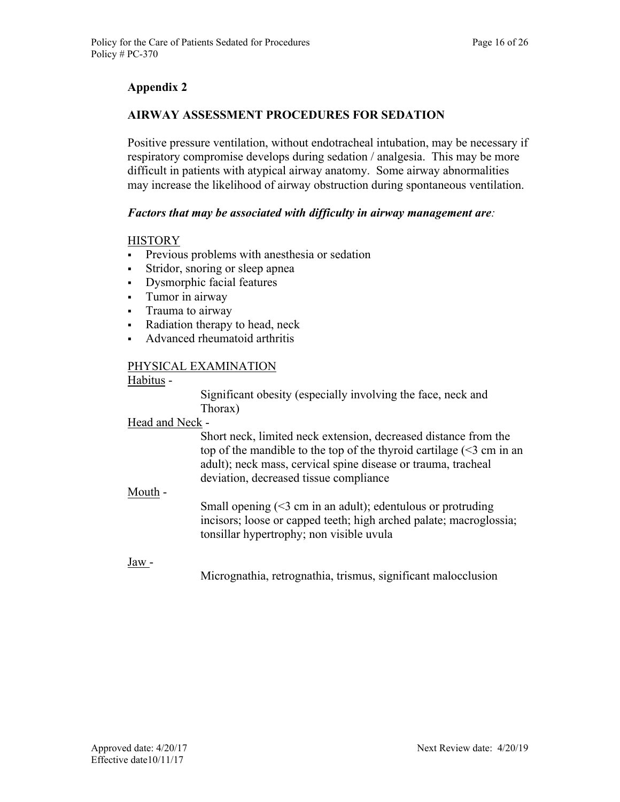#### **AIRWAY ASSESSMENT PROCEDURES FOR SEDATION**

Positive pressure ventilation, without endotracheal intubation, may be necessary if respiratory compromise develops during sedation / analgesia. This may be more difficult in patients with atypical airway anatomy. Some airway abnormalities may increase the likelihood of airway obstruction during spontaneous ventilation.

#### *Factors that may be associated with difficulty in airway management are:*

#### **HISTORY**

- Previous problems with anesthesia or sedation
- Stridor, snoring or sleep apnea
- Dysmorphic facial features
- Tumor in airway
- Trauma to airway
- Radiation therapy to head, neck
- Advanced rheumatoid arthritis

#### PHYSICAL EXAMINATION

Habitus -

Significant obesity (especially involving the face, neck and Thorax)

#### Head and Neck -

Short neck, limited neck extension, decreased distance from the top of the mandible to the top of the thyroid cartilage  $\leq 3$  cm in an adult); neck mass, cervical spine disease or trauma, tracheal deviation, decreased tissue compliance

#### Mouth -

Small opening  $($   $\leq$  3 cm in an adult); edentulous or protruding incisors; loose or capped teeth; high arched palate; macroglossia; tonsillar hypertrophy; non visible uvula

#### Jaw -

Micrognathia, retrognathia, trismus, significant malocclusion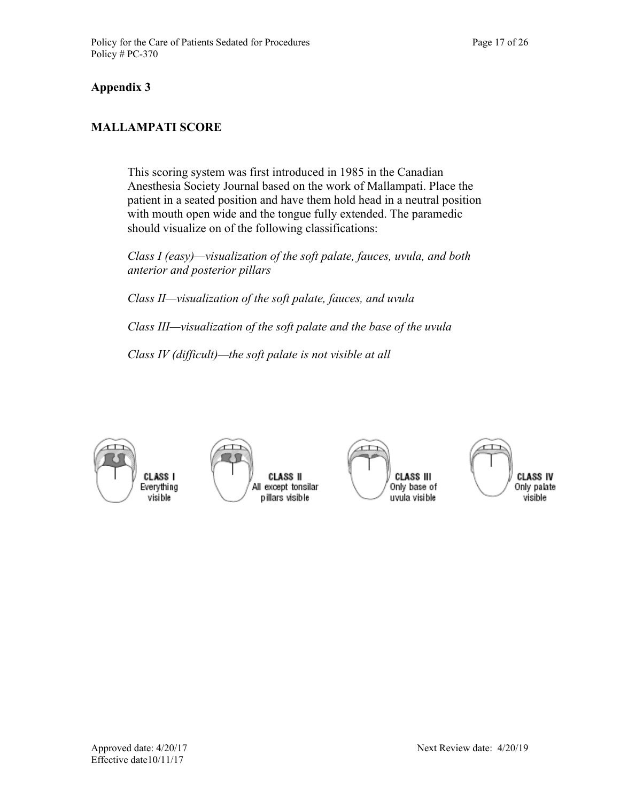## **MALLAMPATI SCORE**

This scoring system was first introduced in 1985 in the Canadian Anesthesia Society Journal based on the work of Mallampati. Place the patient in a seated position and have them hold head in a neutral position with mouth open wide and the tongue fully extended. The paramedic should visualize on of the following classifications:

*Class I (easy)—visualization of the soft palate, fauces, uvula, and both anterior and posterior pillars*

*Class II—visualization of the soft palate, fauces, and uvula*

*Class III—visualization of the soft palate and the base of the uvula*

*Class IV (difficult)—the soft palate is not visible at all*







CLASS IV Only palate visible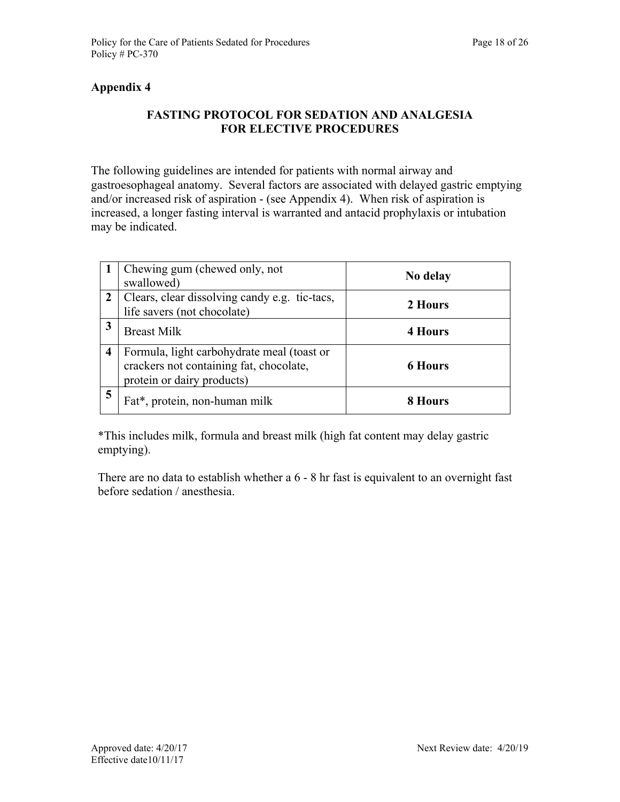## **FASTING PROTOCOL FOR SEDATION AND ANALGESIA FOR ELECTIVE PROCEDURES**

The following guidelines are intended for patients with normal airway and gastroesophageal anatomy. Several factors are associated with delayed gastric emptying and/or increased risk of aspiration - (see Appendix 4). When risk of aspiration is increased, a longer fasting interval is warranted and antacid prophylaxis or intubation may be indicated.

|                         | Chewing gum (chewed only, not<br>swallowed)                                                                         | No delay       |
|-------------------------|---------------------------------------------------------------------------------------------------------------------|----------------|
| $\overline{2}$          | Clears, clear dissolving candy e.g. tic-tacs,<br>life savers (not chocolate)                                        | 2 Hours        |
| 3                       | <b>Breast Milk</b>                                                                                                  | <b>4 Hours</b> |
| $\overline{\mathbf{4}}$ | Formula, light carbohydrate meal (toast or<br>crackers not containing fat, chocolate,<br>protein or dairy products) | <b>6 Hours</b> |
| 5                       | Fat*, protein, non-human milk                                                                                       | 8 Hours        |

\*This includes milk, formula and breast milk (high fat content may delay gastric emptying).

There are no data to establish whether a 6 - 8 hr fast is equivalent to an overnight fast before sedation / anesthesia.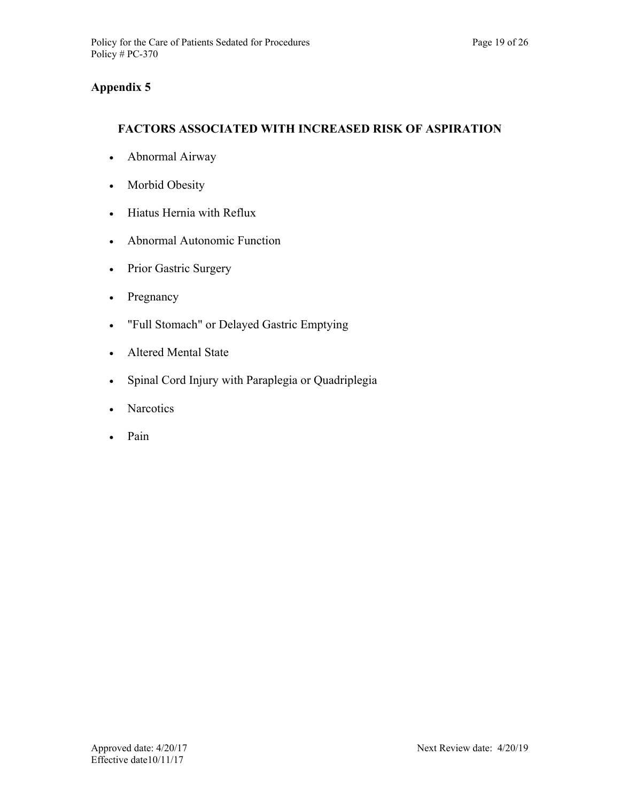#### **FACTORS ASSOCIATED WITH INCREASED RISK OF ASPIRATION**

- Abnormal Airway
- Morbid Obesity
- Hiatus Hernia with Reflux
- Abnormal Autonomic Function
- Prior Gastric Surgery
- Pregnancy
- "Full Stomach" or Delayed Gastric Emptying
- Altered Mental State
- Spinal Cord Injury with Paraplegia or Quadriplegia
- Narcotics
- Pain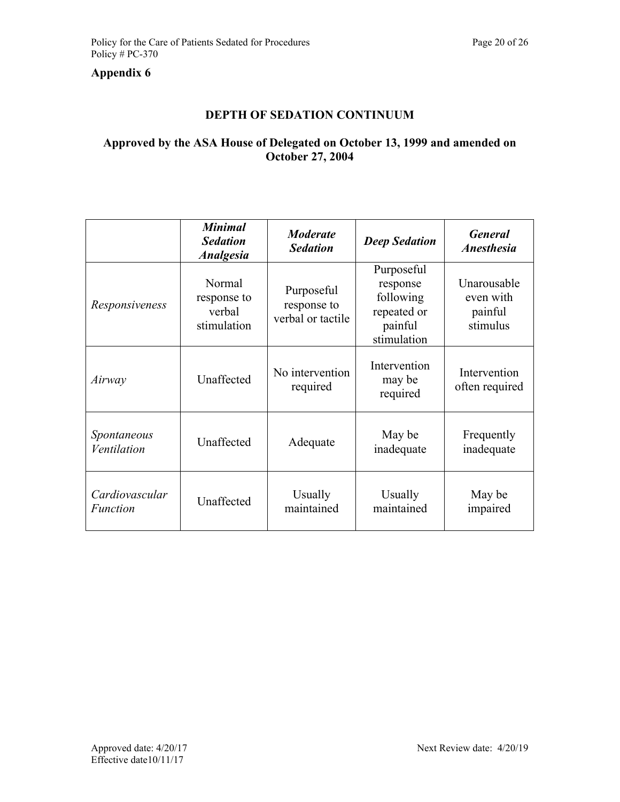## **DEPTH OF SEDATION CONTINUUM**

## **Approved by the ASA House of Delegated on October 13, 1999 and amended on October 27, 2004**

|                                   | <b>Minimal</b><br><b>Sedation</b><br><b>Analgesia</b> | <b>Moderate</b><br><b>Sedation</b>             | <b>Deep Sedation</b>                                                         | <b>General</b><br><b>Anesthesia</b>             |
|-----------------------------------|-------------------------------------------------------|------------------------------------------------|------------------------------------------------------------------------------|-------------------------------------------------|
| Responsiveness                    | Normal<br>response to<br>verbal<br>stimulation        | Purposeful<br>response to<br>verbal or tactile | Purposeful<br>response<br>following<br>repeated or<br>painful<br>stimulation | Unarousable<br>even with<br>painful<br>stimulus |
| Airway                            | Unaffected                                            | No intervention<br>required                    | Intervention<br>may be<br>required                                           | Intervention<br>often required                  |
| Spontaneous<br>Ventilation        | Unaffected                                            | Adequate                                       | May be<br>inadequate                                                         | Frequently<br>inadequate                        |
| Cardiovascular<br><b>Function</b> | Unaffected                                            | Usually<br>maintained                          | Usually<br>maintained                                                        | May be<br>impaired                              |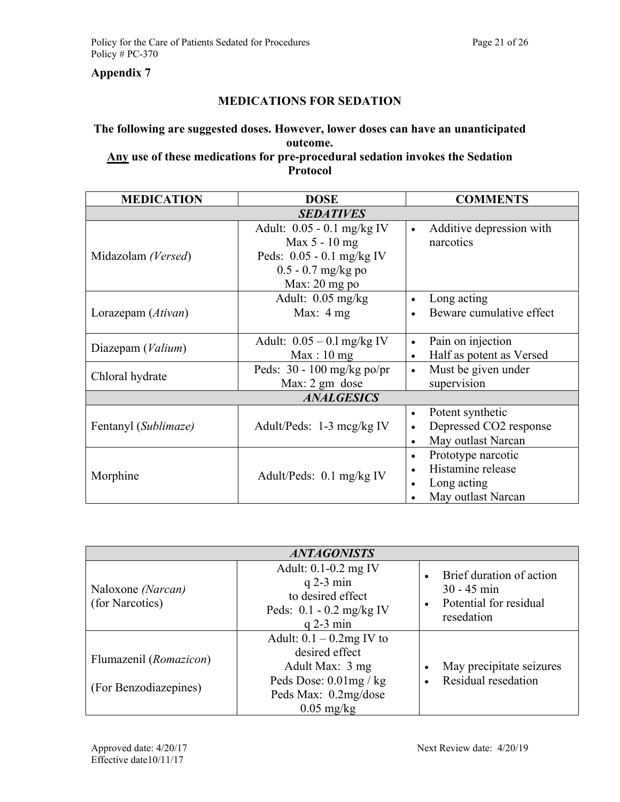#### **MEDICATIONS FOR SEDATION**

#### **The following are suggested doses. However, lower doses can have an unanticipated outcome.**

#### **Any use of these medications for pre-procedural sedation invokes the Sedation Protocol**

| <b>MEDICATION</b>    | <b>DOSE</b>                  | <b>COMMENTS</b>                       |  |  |  |
|----------------------|------------------------------|---------------------------------------|--|--|--|
| <b>SEDATIVES</b>     |                              |                                       |  |  |  |
|                      | Adult: $0.05 - 0.1$ mg/kg IV | Additive depression with<br>$\bullet$ |  |  |  |
|                      | Max 5 - 10 mg                | narcotics                             |  |  |  |
| Midazolam (Versed)   | Peds: $0.05 - 0.1$ mg/kg IV  |                                       |  |  |  |
|                      | $0.5 - 0.7$ mg/kg po         |                                       |  |  |  |
|                      | Max: $20$ mg po              |                                       |  |  |  |
|                      | Adult: $0.05$ mg/kg          | Long acting                           |  |  |  |
| Lorazepam (Ativan)   | Max: $4 mg$                  | Beware cumulative effect              |  |  |  |
|                      |                              |                                       |  |  |  |
|                      | Adult: $0.05 - 0.1$ mg/kg IV | Pain on injection<br>$\bullet$        |  |  |  |
| Diazepam (Valium)    | Max:10mg                     | Half as potent as Versed<br>$\bullet$ |  |  |  |
|                      | Peds: $30 - 100$ mg/kg po/pr | Must be given under<br>$\bullet$      |  |  |  |
| Chloral hydrate      | Max: 2 gm dose               | supervision                           |  |  |  |
|                      | <b>ANALGESICS</b>            |                                       |  |  |  |
|                      |                              | Potent synthetic                      |  |  |  |
| Fentanyl (Sublimaze) | Adult/Peds: $1-3$ mcg/kg IV  | Depressed CO2 response                |  |  |  |
|                      |                              | May outlast Narcan                    |  |  |  |
|                      |                              | Prototype narcotic                    |  |  |  |
|                      |                              | Histamine release                     |  |  |  |
| Morphine             | Adult/Peds: 0.1 mg/kg IV     | Long acting                           |  |  |  |
|                      |                              | May outlast Narcan                    |  |  |  |

| <b>ANTAGONISTS</b>                              |                                                                                                                                       |                                                                                                |  |  |  |
|-------------------------------------------------|---------------------------------------------------------------------------------------------------------------------------------------|------------------------------------------------------------------------------------------------|--|--|--|
| Naloxone (Narcan)<br>(for Narcotics)            | Adult: 0.1-0.2 mg IV<br>$q$ 2-3 min<br>to desired effect<br>Peds: 0.1 - 0.2 mg/kg IV<br>$q$ 2-3 min                                   | Brief duration of action<br>$30 - 45$ min<br>Potential for residual<br>$\bullet$<br>resedation |  |  |  |
| Flumazenil (Romazicon)<br>(For Benzodiazepines) | Adult: $0.1 - 0.2$ mg IV to<br>desired effect<br>Adult Max: 3 mg<br>Peds Dose: $0.01$ mg / kg<br>Peds Max: 0.2mg/dose<br>$0.05$ mg/kg | May precipitate seizures<br>Residual resedation                                                |  |  |  |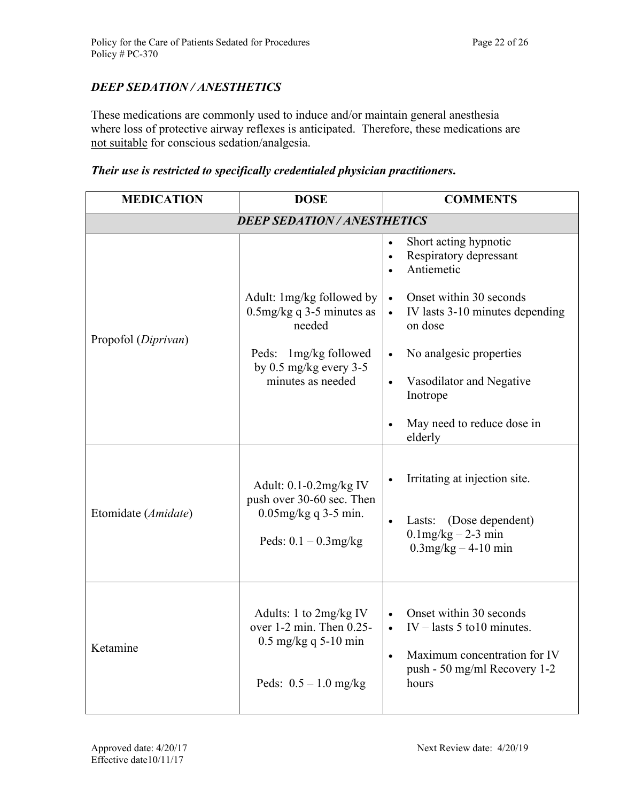## *DEEP SEDATION / ANESTHETICS*

These medications are commonly used to induce and/or maintain general anesthesia where loss of protective airway reflexes is anticipated. Therefore, these medications are not suitable for conscious sedation/analgesia.

|  |  | Their use is restricted to specifically credentialed physician practitioners. |
|--|--|-------------------------------------------------------------------------------|
|  |  |                                                                               |

| <b>MEDICATION</b>   | <b>DOSE</b>                                                                                                      | <b>COMMENTS</b>                                                                                                                                                        |
|---------------------|------------------------------------------------------------------------------------------------------------------|------------------------------------------------------------------------------------------------------------------------------------------------------------------------|
|                     | <b>DEEP SEDATION/ANESTHETICS</b>                                                                                 |                                                                                                                                                                        |
|                     | Adult: 1mg/kg followed by                                                                                        | Short acting hypnotic<br>Respiratory depressant<br>Antiemetic<br>Onset within 30 seconds<br>$\bullet$                                                                  |
| Propofol (Diprivan) | $0.5$ mg/kg q 3-5 minutes as<br>needed                                                                           | IV lasts 3-10 minutes depending<br>$\bullet$<br>on dose                                                                                                                |
|                     | Peds: 1mg/kg followed<br>by $0.5 \text{ mg/kg}$ every 3-5                                                        | No analgesic properties<br>$\bullet$                                                                                                                                   |
|                     | minutes as needed                                                                                                | Vasodilator and Negative<br>$\bullet$<br>Inotrope                                                                                                                      |
|                     |                                                                                                                  | May need to reduce dose in<br>elderly                                                                                                                                  |
| Etomidate (Amidate) | Adult: $0.1$ - $0.2$ mg/kg IV<br>push over 30-60 sec. Then<br>$0.05$ mg/kg q 3-5 min.<br>Peds: $0.1 - 0.3$ mg/kg | Irritating at injection site.<br>(Dose dependent)<br>Lasts:<br>$0.1$ mg/kg – 2-3 min<br>$0.3$ mg/kg – 4-10 min                                                         |
| Ketamine            | Adults: 1 to 2mg/kg IV<br>over 1-2 min. Then 0.25-<br>$0.5$ mg/kg q 5-10 min<br>Peds: $0.5 - 1.0$ mg/kg          | Onset within 30 seconds<br>$\bullet$<br>IV – lasts 5 to 10 minutes.<br>$\bullet$<br>Maximum concentration for IV<br>$\bullet$<br>push - 50 mg/ml Recovery 1-2<br>hours |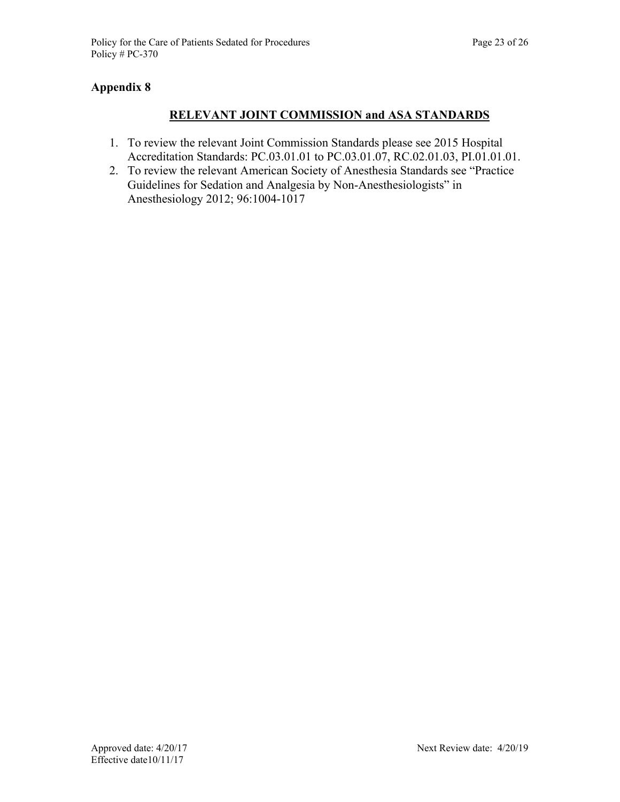## **RELEVANT JOINT COMMISSION and ASA STANDARDS**

- 1. To review the relevant Joint Commission Standards please see 2015 Hospital Accreditation Standards: PC.03.01.01 to PC.03.01.07, RC.02.01.03, PI.01.01.01.
- 2. To review the relevant American Society of Anesthesia Standards see "Practice Guidelines for Sedation and Analgesia by Non-Anesthesiologists" in Anesthesiology 2012; 96:1004-1017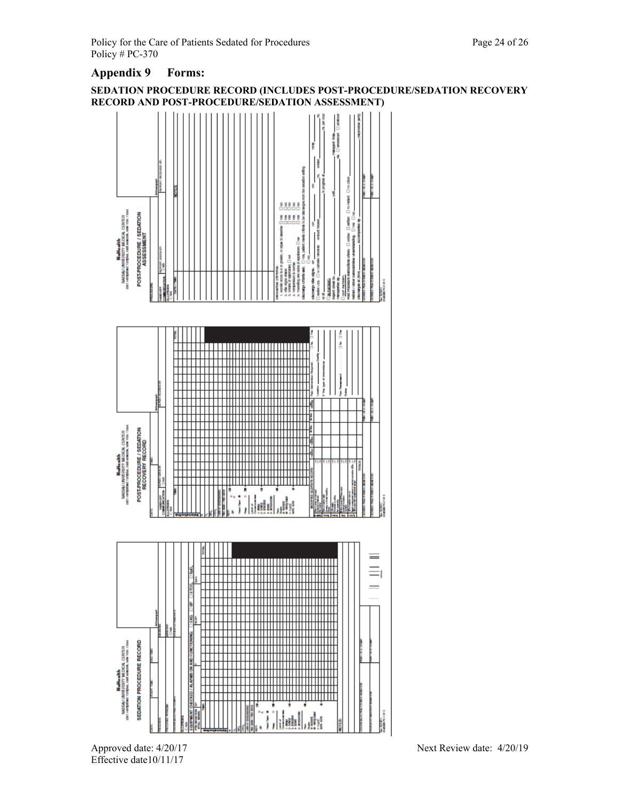#### **Appendix 9 Forms:**

#### **SEDATION PROCEDURE RECORD (INCLUDES POST-PROCEDURE/SEDATION RECOVERY RECORD AND POST-PROCEDURE/SEDATION ASSESSMENT)**



Effective date10/11/17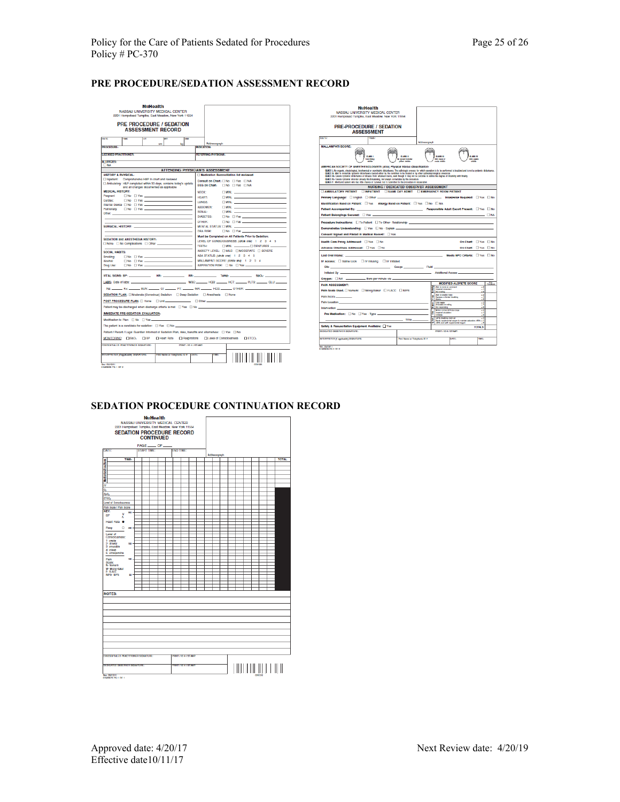#### **PRE PROCEDURE/SEDATION ASSESSMENT RECORD**

| TIME.<br>EM<br>HT.<br>WT.<br>cm<br>ko<br>Addressophph<br><b>NORATOR:</b><br><b>TICHASED BRANDINGS</b><br><b>REFERRING PHYSICAN:</b><br><b>ALLERGIES:</b><br><b>ATTENDING PHYSICIAN'S ASSESSMENT</b><br>Medication Reconciliation list reviewed<br>[] Inpatient: Comprehensive H&P in chart and reviewed<br>Consult on Chart: [ No     Yes   NA<br>[] Ambulatory: H&P completed within 30 days, contains today's update<br>EKG on Chart:   No     Yes   NA<br>and all changes documented as applicable<br><b>MEDICAL HISTORY:</b><br><b>NECK:</b><br><b>IN WINDS AND RESIDENCE</b><br>Prognant<br>No Di Yos ________<br><b>HEART:</b><br><b>TWN STREET STREET IN 1999</b><br>Cantlact<br>LUNGS:<br><b>ETWNER AND RESIDENCE</b><br>Internal Dowlos [1] No [1] Yes<br><b>ABDOMEN:</b><br>TWN. The contract of the contract of<br>Pulmonary: DNo DYes<br><b>RENAL:</b><br><b>TWN AND REPORTS</b><br>Other:<br><b>DIABETES:</b><br>$\Box$ No $\Box$ Yes<br>OTHER:<br>No. 17 Yes<br><b>SURGICAL HISTORY:</b><br><b>MENTAL STATUS: IT WNL</b><br><b>ORA RIRK:</b><br>No Il Yes<br>Must be Completed on All Patients Prior to Sedation:<br><b>SEDATION and ANESTHESIA HISTORY:</b><br>LEVEL OF CONSCIOUSNESS: / alroib ong) 1 2 3 4 5<br>None II No Complications III Other<br><b>TEETH:</b><br>UWN. UP DENTURES<br>ANXIETY LEVEL: C MILD C MODERATE C SEVERE<br>SOCIAL HABITS:<br>ASA STATUS: (circle one) 1 2 3 4 5<br>Smoking:<br>$\Box$ No $\Box$ Yes $\Box$<br>MALLAMPATI SCORE: /drde anal 1 2 3 4<br>Alcohot:<br>$\Box$ No $\Box$ Yes<br>ASPIRATION RISK: [ No [ ] Yes<br>Drug Usa:<br>WBC: HGB: HCT: PLTS: QLU: QLU:<br>No: Ke, BUN: Cr., PT: NR: NR: HOG: OTHER: NR:<br>SEDATION PLAN: [ ] Moderate (Conscious) Sedation [ ] Deep Sedation [ ] Anesthesia [ ] None<br>Patient may be discharged when discharge criteria is met [1] Yes [1] No<br><b>IMMEDIATE PRE-SEDATION EVALUATION:</b><br>Modification to Plan: [] No [1] Yes<br>The patient is a candidate for sedation: [] Yes [] No<br>Patient / Parent / Legal Guardian Informed of Sedation Plan, risks, benefits and alternatives: [ ] Yes [ ] No<br>$\Box$ BP<br><b>CI Heart Rate</b><br><b>Respirations</b><br>MONITORING: CISaO,<br><b>El Leval of Consciousnass</b><br><b>DETCO.</b><br>PRINT / ID # / STAMP:<br>Print Name or Telephonic ID #<br><b>DATE</b><br><b>ME</b> | <b>NuHealth</b><br>NASSAU UNIVERSITY MEDICAL CENTER<br>2201 Hempstead Tumpike, East Meadow, New York 11554<br><b>PRE PROCEDURE / SEDATION</b> |  |  |
|-------------------------------------------------------------------------------------------------------------------------------------------------------------------------------------------------------------------------------------------------------------------------------------------------------------------------------------------------------------------------------------------------------------------------------------------------------------------------------------------------------------------------------------------------------------------------------------------------------------------------------------------------------------------------------------------------------------------------------------------------------------------------------------------------------------------------------------------------------------------------------------------------------------------------------------------------------------------------------------------------------------------------------------------------------------------------------------------------------------------------------------------------------------------------------------------------------------------------------------------------------------------------------------------------------------------------------------------------------------------------------------------------------------------------------------------------------------------------------------------------------------------------------------------------------------------------------------------------------------------------------------------------------------------------------------------------------------------------------------------------------------------------------------------------------------------------------------------------------------------------------------------------------------------------------------------------------------------------------------------------------------------------------------------------------------------------------------------------------------------------------------------------------------------------------------------------------------------------------------------------------------------------------------------------------------------------------------------|-----------------------------------------------------------------------------------------------------------------------------------------------|--|--|
|                                                                                                                                                                                                                                                                                                                                                                                                                                                                                                                                                                                                                                                                                                                                                                                                                                                                                                                                                                                                                                                                                                                                                                                                                                                                                                                                                                                                                                                                                                                                                                                                                                                                                                                                                                                                                                                                                                                                                                                                                                                                                                                                                                                                                                                                                                                                           | <b>ASSESSMENT RECORD</b><br><b>DATE</b>                                                                                                       |  |  |
|                                                                                                                                                                                                                                                                                                                                                                                                                                                                                                                                                                                                                                                                                                                                                                                                                                                                                                                                                                                                                                                                                                                                                                                                                                                                                                                                                                                                                                                                                                                                                                                                                                                                                                                                                                                                                                                                                                                                                                                                                                                                                                                                                                                                                                                                                                                                           | <b>Notice Stations</b>                                                                                                                        |  |  |
|                                                                                                                                                                                                                                                                                                                                                                                                                                                                                                                                                                                                                                                                                                                                                                                                                                                                                                                                                                                                                                                                                                                                                                                                                                                                                                                                                                                                                                                                                                                                                                                                                                                                                                                                                                                                                                                                                                                                                                                                                                                                                                                                                                                                                                                                                                                                           |                                                                                                                                               |  |  |
|                                                                                                                                                                                                                                                                                                                                                                                                                                                                                                                                                                                                                                                                                                                                                                                                                                                                                                                                                                                                                                                                                                                                                                                                                                                                                                                                                                                                                                                                                                                                                                                                                                                                                                                                                                                                                                                                                                                                                                                                                                                                                                                                                                                                                                                                                                                                           |                                                                                                                                               |  |  |
|                                                                                                                                                                                                                                                                                                                                                                                                                                                                                                                                                                                                                                                                                                                                                                                                                                                                                                                                                                                                                                                                                                                                                                                                                                                                                                                                                                                                                                                                                                                                                                                                                                                                                                                                                                                                                                                                                                                                                                                                                                                                                                                                                                                                                                                                                                                                           | $\square$ NA                                                                                                                                  |  |  |
|                                                                                                                                                                                                                                                                                                                                                                                                                                                                                                                                                                                                                                                                                                                                                                                                                                                                                                                                                                                                                                                                                                                                                                                                                                                                                                                                                                                                                                                                                                                                                                                                                                                                                                                                                                                                                                                                                                                                                                                                                                                                                                                                                                                                                                                                                                                                           |                                                                                                                                               |  |  |
|                                                                                                                                                                                                                                                                                                                                                                                                                                                                                                                                                                                                                                                                                                                                                                                                                                                                                                                                                                                                                                                                                                                                                                                                                                                                                                                                                                                                                                                                                                                                                                                                                                                                                                                                                                                                                                                                                                                                                                                                                                                                                                                                                                                                                                                                                                                                           | <b>HISTORY &amp; PHYSICAL:</b>                                                                                                                |  |  |
|                                                                                                                                                                                                                                                                                                                                                                                                                                                                                                                                                                                                                                                                                                                                                                                                                                                                                                                                                                                                                                                                                                                                                                                                                                                                                                                                                                                                                                                                                                                                                                                                                                                                                                                                                                                                                                                                                                                                                                                                                                                                                                                                                                                                                                                                                                                                           |                                                                                                                                               |  |  |
|                                                                                                                                                                                                                                                                                                                                                                                                                                                                                                                                                                                                                                                                                                                                                                                                                                                                                                                                                                                                                                                                                                                                                                                                                                                                                                                                                                                                                                                                                                                                                                                                                                                                                                                                                                                                                                                                                                                                                                                                                                                                                                                                                                                                                                                                                                                                           |                                                                                                                                               |  |  |
|                                                                                                                                                                                                                                                                                                                                                                                                                                                                                                                                                                                                                                                                                                                                                                                                                                                                                                                                                                                                                                                                                                                                                                                                                                                                                                                                                                                                                                                                                                                                                                                                                                                                                                                                                                                                                                                                                                                                                                                                                                                                                                                                                                                                                                                                                                                                           |                                                                                                                                               |  |  |
|                                                                                                                                                                                                                                                                                                                                                                                                                                                                                                                                                                                                                                                                                                                                                                                                                                                                                                                                                                                                                                                                                                                                                                                                                                                                                                                                                                                                                                                                                                                                                                                                                                                                                                                                                                                                                                                                                                                                                                                                                                                                                                                                                                                                                                                                                                                                           |                                                                                                                                               |  |  |
|                                                                                                                                                                                                                                                                                                                                                                                                                                                                                                                                                                                                                                                                                                                                                                                                                                                                                                                                                                                                                                                                                                                                                                                                                                                                                                                                                                                                                                                                                                                                                                                                                                                                                                                                                                                                                                                                                                                                                                                                                                                                                                                                                                                                                                                                                                                                           |                                                                                                                                               |  |  |
|                                                                                                                                                                                                                                                                                                                                                                                                                                                                                                                                                                                                                                                                                                                                                                                                                                                                                                                                                                                                                                                                                                                                                                                                                                                                                                                                                                                                                                                                                                                                                                                                                                                                                                                                                                                                                                                                                                                                                                                                                                                                                                                                                                                                                                                                                                                                           |                                                                                                                                               |  |  |
|                                                                                                                                                                                                                                                                                                                                                                                                                                                                                                                                                                                                                                                                                                                                                                                                                                                                                                                                                                                                                                                                                                                                                                                                                                                                                                                                                                                                                                                                                                                                                                                                                                                                                                                                                                                                                                                                                                                                                                                                                                                                                                                                                                                                                                                                                                                                           |                                                                                                                                               |  |  |
|                                                                                                                                                                                                                                                                                                                                                                                                                                                                                                                                                                                                                                                                                                                                                                                                                                                                                                                                                                                                                                                                                                                                                                                                                                                                                                                                                                                                                                                                                                                                                                                                                                                                                                                                                                                                                                                                                                                                                                                                                                                                                                                                                                                                                                                                                                                                           |                                                                                                                                               |  |  |
|                                                                                                                                                                                                                                                                                                                                                                                                                                                                                                                                                                                                                                                                                                                                                                                                                                                                                                                                                                                                                                                                                                                                                                                                                                                                                                                                                                                                                                                                                                                                                                                                                                                                                                                                                                                                                                                                                                                                                                                                                                                                                                                                                                                                                                                                                                                                           |                                                                                                                                               |  |  |
|                                                                                                                                                                                                                                                                                                                                                                                                                                                                                                                                                                                                                                                                                                                                                                                                                                                                                                                                                                                                                                                                                                                                                                                                                                                                                                                                                                                                                                                                                                                                                                                                                                                                                                                                                                                                                                                                                                                                                                                                                                                                                                                                                                                                                                                                                                                                           |                                                                                                                                               |  |  |
|                                                                                                                                                                                                                                                                                                                                                                                                                                                                                                                                                                                                                                                                                                                                                                                                                                                                                                                                                                                                                                                                                                                                                                                                                                                                                                                                                                                                                                                                                                                                                                                                                                                                                                                                                                                                                                                                                                                                                                                                                                                                                                                                                                                                                                                                                                                                           |                                                                                                                                               |  |  |
|                                                                                                                                                                                                                                                                                                                                                                                                                                                                                                                                                                                                                                                                                                                                                                                                                                                                                                                                                                                                                                                                                                                                                                                                                                                                                                                                                                                                                                                                                                                                                                                                                                                                                                                                                                                                                                                                                                                                                                                                                                                                                                                                                                                                                                                                                                                                           |                                                                                                                                               |  |  |
|                                                                                                                                                                                                                                                                                                                                                                                                                                                                                                                                                                                                                                                                                                                                                                                                                                                                                                                                                                                                                                                                                                                                                                                                                                                                                                                                                                                                                                                                                                                                                                                                                                                                                                                                                                                                                                                                                                                                                                                                                                                                                                                                                                                                                                                                                                                                           |                                                                                                                                               |  |  |
|                                                                                                                                                                                                                                                                                                                                                                                                                                                                                                                                                                                                                                                                                                                                                                                                                                                                                                                                                                                                                                                                                                                                                                                                                                                                                                                                                                                                                                                                                                                                                                                                                                                                                                                                                                                                                                                                                                                                                                                                                                                                                                                                                                                                                                                                                                                                           |                                                                                                                                               |  |  |
|                                                                                                                                                                                                                                                                                                                                                                                                                                                                                                                                                                                                                                                                                                                                                                                                                                                                                                                                                                                                                                                                                                                                                                                                                                                                                                                                                                                                                                                                                                                                                                                                                                                                                                                                                                                                                                                                                                                                                                                                                                                                                                                                                                                                                                                                                                                                           |                                                                                                                                               |  |  |
|                                                                                                                                                                                                                                                                                                                                                                                                                                                                                                                                                                                                                                                                                                                                                                                                                                                                                                                                                                                                                                                                                                                                                                                                                                                                                                                                                                                                                                                                                                                                                                                                                                                                                                                                                                                                                                                                                                                                                                                                                                                                                                                                                                                                                                                                                                                                           |                                                                                                                                               |  |  |
|                                                                                                                                                                                                                                                                                                                                                                                                                                                                                                                                                                                                                                                                                                                                                                                                                                                                                                                                                                                                                                                                                                                                                                                                                                                                                                                                                                                                                                                                                                                                                                                                                                                                                                                                                                                                                                                                                                                                                                                                                                                                                                                                                                                                                                                                                                                                           |                                                                                                                                               |  |  |
|                                                                                                                                                                                                                                                                                                                                                                                                                                                                                                                                                                                                                                                                                                                                                                                                                                                                                                                                                                                                                                                                                                                                                                                                                                                                                                                                                                                                                                                                                                                                                                                                                                                                                                                                                                                                                                                                                                                                                                                                                                                                                                                                                                                                                                                                                                                                           |                                                                                                                                               |  |  |
|                                                                                                                                                                                                                                                                                                                                                                                                                                                                                                                                                                                                                                                                                                                                                                                                                                                                                                                                                                                                                                                                                                                                                                                                                                                                                                                                                                                                                                                                                                                                                                                                                                                                                                                                                                                                                                                                                                                                                                                                                                                                                                                                                                                                                                                                                                                                           | LABS: Date of labs: _                                                                                                                         |  |  |
|                                                                                                                                                                                                                                                                                                                                                                                                                                                                                                                                                                                                                                                                                                                                                                                                                                                                                                                                                                                                                                                                                                                                                                                                                                                                                                                                                                                                                                                                                                                                                                                                                                                                                                                                                                                                                                                                                                                                                                                                                                                                                                                                                                                                                                                                                                                                           |                                                                                                                                               |  |  |
|                                                                                                                                                                                                                                                                                                                                                                                                                                                                                                                                                                                                                                                                                                                                                                                                                                                                                                                                                                                                                                                                                                                                                                                                                                                                                                                                                                                                                                                                                                                                                                                                                                                                                                                                                                                                                                                                                                                                                                                                                                                                                                                                                                                                                                                                                                                                           |                                                                                                                                               |  |  |
|                                                                                                                                                                                                                                                                                                                                                                                                                                                                                                                                                                                                                                                                                                                                                                                                                                                                                                                                                                                                                                                                                                                                                                                                                                                                                                                                                                                                                                                                                                                                                                                                                                                                                                                                                                                                                                                                                                                                                                                                                                                                                                                                                                                                                                                                                                                                           |                                                                                                                                               |  |  |
|                                                                                                                                                                                                                                                                                                                                                                                                                                                                                                                                                                                                                                                                                                                                                                                                                                                                                                                                                                                                                                                                                                                                                                                                                                                                                                                                                                                                                                                                                                                                                                                                                                                                                                                                                                                                                                                                                                                                                                                                                                                                                                                                                                                                                                                                                                                                           |                                                                                                                                               |  |  |
|                                                                                                                                                                                                                                                                                                                                                                                                                                                                                                                                                                                                                                                                                                                                                                                                                                                                                                                                                                                                                                                                                                                                                                                                                                                                                                                                                                                                                                                                                                                                                                                                                                                                                                                                                                                                                                                                                                                                                                                                                                                                                                                                                                                                                                                                                                                                           |                                                                                                                                               |  |  |
|                                                                                                                                                                                                                                                                                                                                                                                                                                                                                                                                                                                                                                                                                                                                                                                                                                                                                                                                                                                                                                                                                                                                                                                                                                                                                                                                                                                                                                                                                                                                                                                                                                                                                                                                                                                                                                                                                                                                                                                                                                                                                                                                                                                                                                                                                                                                           |                                                                                                                                               |  |  |
|                                                                                                                                                                                                                                                                                                                                                                                                                                                                                                                                                                                                                                                                                                                                                                                                                                                                                                                                                                                                                                                                                                                                                                                                                                                                                                                                                                                                                                                                                                                                                                                                                                                                                                                                                                                                                                                                                                                                                                                                                                                                                                                                                                                                                                                                                                                                           |                                                                                                                                               |  |  |
|                                                                                                                                                                                                                                                                                                                                                                                                                                                                                                                                                                                                                                                                                                                                                                                                                                                                                                                                                                                                                                                                                                                                                                                                                                                                                                                                                                                                                                                                                                                                                                                                                                                                                                                                                                                                                                                                                                                                                                                                                                                                                                                                                                                                                                                                                                                                           |                                                                                                                                               |  |  |
|                                                                                                                                                                                                                                                                                                                                                                                                                                                                                                                                                                                                                                                                                                                                                                                                                                                                                                                                                                                                                                                                                                                                                                                                                                                                                                                                                                                                                                                                                                                                                                                                                                                                                                                                                                                                                                                                                                                                                                                                                                                                                                                                                                                                                                                                                                                                           | CREDENTIALED PRACTITIONER SKINATURE:                                                                                                          |  |  |
|                                                                                                                                                                                                                                                                                                                                                                                                                                                                                                                                                                                                                                                                                                                                                                                                                                                                                                                                                                                                                                                                                                                                                                                                                                                                                                                                                                                                                                                                                                                                                                                                                                                                                                                                                                                                                                                                                                                                                                                                                                                                                                                                                                                                                                                                                                                                           | INTERFERETER (If applicable) SIGNATURE:                                                                                                       |  |  |
|                                                                                                                                                                                                                                                                                                                                                                                                                                                                                                                                                                                                                                                                                                                                                                                                                                                                                                                                                                                                                                                                                                                                                                                                                                                                                                                                                                                                                                                                                                                                                                                                                                                                                                                                                                                                                                                                                                                                                                                                                                                                                                                                                                                                                                                                                                                                           | <b>Bay, 05/19/11</b><br><b>ANNOUNCED INC. 4 YEAR OF</b>                                                                                       |  |  |

| <b>NuHealth</b><br>NASSAU UNIVERSITY MEDICAL CENTER<br>2201 Hempstead Tumpike, East Meadow, New York 11554                                                                                                                                                                                                                                                                                                                                                                                                                  |                                                            |        |                                                                                     |                                               |              |
|-----------------------------------------------------------------------------------------------------------------------------------------------------------------------------------------------------------------------------------------------------------------------------------------------------------------------------------------------------------------------------------------------------------------------------------------------------------------------------------------------------------------------------|------------------------------------------------------------|--------|-------------------------------------------------------------------------------------|-----------------------------------------------|--------------|
|                                                                                                                                                                                                                                                                                                                                                                                                                                                                                                                             |                                                            |        |                                                                                     |                                               |              |
| <b>PRE-PROCEDURE / SEDATION</b><br><b>ASSESSMENT</b>                                                                                                                                                                                                                                                                                                                                                                                                                                                                        |                                                            |        |                                                                                     |                                               |              |
| <b>TIMP</b><br><b>DATE:</b>                                                                                                                                                                                                                                                                                                                                                                                                                                                                                                 | Addressogniph                                              |        |                                                                                     |                                               |              |
| <b>MALLAMPATI SCORE:</b>                                                                                                                                                                                                                                                                                                                                                                                                                                                                                                    |                                                            |        |                                                                                     |                                               |              |
| <b>CLASS 1</b><br><b>Controllers</b><br><b>START</b>                                                                                                                                                                                                                                                                                                                                                                                                                                                                        | <b>CLASS II</b><br><b>W</b> carnet tom by<br>other visible |        | 0.455.10<br>Only base of<br><b>voils</b> visible                                    | <b>GREE IV</b><br>Only public<br><b>Widow</b> |              |
| AMERICAN SOCIETY OF ANESTHESIOLOGISTS (ASA) Physical Status Classification:<br>CLASS I: No organic, physiological, biochamical or psychiatric disturbance. The pathologic process for which operation is to be performed is localized and is not a systemic disturbance.                                                                                                                                                                                                                                                    |                                                            |        |                                                                                     |                                               |              |
| QLASS II: Mid is moderals protenic disturbance caused effect by the condition to be treated or by other pathodinoidedical processes.<br>CLASS III: Savon systemic disturbance or disaste from whatever cause, over though it may not be possible to define the degree of chability with finality.<br>QLASS IV: Sovora systemic disorder already life-threatening, not always connectable by the procedure.<br>GLASS V: Moribund callert who has little chance of survival, but is submitted to the procedure in depoundion. |                                                            |        |                                                                                     |                                               |              |
|                                                                                                                                                                                                                                                                                                                                                                                                                                                                                                                             | <b>NURSING / DEDICATED OBSERVER ASSESSMENT</b>             |        |                                                                                     |                                               |              |
| <b>INPATIENT ISAME DAY ADMIT II EMERGENCY ROOM PATIENT</b><br><b>AMBULATORY PATIENT</b>                                                                                                                                                                                                                                                                                                                                                                                                                                     |                                                            |        |                                                                                     |                                               |              |
| Primary Language: English Dother                                                                                                                                                                                                                                                                                                                                                                                                                                                                                            |                                                            |        | Interpreter Required: Ves II No                                                     |                                               |              |
| Identification Band on Patient: [   Yes Allergy Band on Patient: [   Yes     No     NA                                                                                                                                                                                                                                                                                                                                                                                                                                      |                                                            |        |                                                                                     |                                               |              |
| Patient Accompanied By:                                                                                                                                                                                                                                                                                                                                                                                                                                                                                                     |                                                            |        | Responsible Adult Escort Present: Di Yes Di No                                      |                                               |              |
|                                                                                                                                                                                                                                                                                                                                                                                                                                                                                                                             |                                                            |        |                                                                                     |                                               | <b>IT NA</b> |
| Procedure Instructions: [ To Patient   To Other- Relationship                                                                                                                                                                                                                                                                                                                                                                                                                                                               |                                                            |        |                                                                                     |                                               |              |
| Demonstrates Understanding:   Yes   No - Explain _                                                                                                                                                                                                                                                                                                                                                                                                                                                                          |                                                            |        |                                                                                     |                                               |              |
| Consent Signed and Placed in Medical Record: Ves                                                                                                                                                                                                                                                                                                                                                                                                                                                                            |                                                            |        |                                                                                     |                                               |              |
| Health Care Proxy Addressed: [ Yes   No                                                                                                                                                                                                                                                                                                                                                                                                                                                                                     |                                                            |        | On Chart: TYes TINo                                                                 |                                               |              |
| Advance Directives Addressed: [ Yes [ No                                                                                                                                                                                                                                                                                                                                                                                                                                                                                    |                                                            |        | On Chart: TYes TINo                                                                 |                                               |              |
| Last Oral Intake:                                                                                                                                                                                                                                                                                                                                                                                                                                                                                                           |                                                            |        | Moots NPO Critoria: TYos TINo                                                       |                                               |              |
| IV Access: □ Saline Lock □ IV Infusing □ IV Initiated                                                                                                                                                                                                                                                                                                                                                                                                                                                                       |                                                            |        |                                                                                     |                                               |              |
| Sto <sub>p</sub>                                                                                                                                                                                                                                                                                                                                                                                                                                                                                                            | Gauge Pluid Pluid                                          |        |                                                                                     |                                               |              |
|                                                                                                                                                                                                                                                                                                                                                                                                                                                                                                                             |                                                            |        |                                                                                     |                                               |              |
|                                                                                                                                                                                                                                                                                                                                                                                                                                                                                                                             |                                                            |        |                                                                                     |                                               |              |
| <b>PAIN ASSESSMENT:</b>                                                                                                                                                                                                                                                                                                                                                                                                                                                                                                     |                                                            |        | <b>MODIFIED ALDRETE SCORE</b><br><b>Ship In more no momental</b>                    | $\overline{1}$                                | Poor         |
| Pain Scale Used- Numeric   Wong-Baker   FLACC   NIPS                                                                                                                                                                                                                                                                                                                                                                                                                                                                        |                                                            | Ē      | <b>Imaind</b> covered<br><b>Not renting</b>                                         | - 1<br>- 0                                    |              |
| Pain Score <b>Communication</b>                                                                                                                                                                                                                                                                                                                                                                                                                                                                                             |                                                            | ś      | Able to breathe treely<br>Dynamic or limited breathing                              | -2<br>d                                       |              |
| Pain Location and Contract and Contract and Contract and Contract and                                                                                                                                                                                                                                                                                                                                                                                                                                                       |                                                            | g      | Rufly swake<br>Armandie on calling                                                  | H                                             |              |
| Intervention                                                                                                                                                                                                                                                                                                                                                                                                                                                                                                                |                                                            |        | <b>Not expending</b><br><b>Within cornal DVPulse range</b>                          | 4<br>-2                                       |              |
|                                                                                                                                                                                                                                                                                                                                                                                                                                                                                                                             |                                                            | ś      | Imminut standalism<br><b>Street of the</b>                                          | $-1$<br>- 0                                   |              |
|                                                                                                                                                                                                                                                                                                                                                                                                                                                                                                                             | Time                                                       | ī<br>٠ | SEPS brashing room are<br>Nexts supplemental exyces to matchin saturation (40% = 1) | -2                                            |              |
| Safety & Resuscitation Equipment Available: <sup>7</sup> es                                                                                                                                                                                                                                                                                                                                                                                                                                                                 |                                                            |        | <b>GDS was with supplemental cayper.</b>                                            | м<br><b>TOTALS:</b>                           |              |
| DE DICATED CONFIDER SIGNATURE-                                                                                                                                                                                                                                                                                                                                                                                                                                                                                              |                                                            |        | PERNIT/ID # / STAMP:                                                                |                                               |              |
| INTERPRETER (if applicable) SIGNATURE:                                                                                                                                                                                                                                                                                                                                                                                                                                                                                      | <b>Print Name or Telephonic ID #</b>                       |        | <b>CATE</b>                                                                         | <b>TEMP</b>                                   |              |
| Bev. 05/19/11                                                                                                                                                                                                                                                                                                                                                                                                                                                                                                               |                                                            |        |                                                                                     |                                               |              |
| 61503030 PG 2 OF 2                                                                                                                                                                                                                                                                                                                                                                                                                                                                                                          |                                                            |        |                                                                                     |                                               |              |